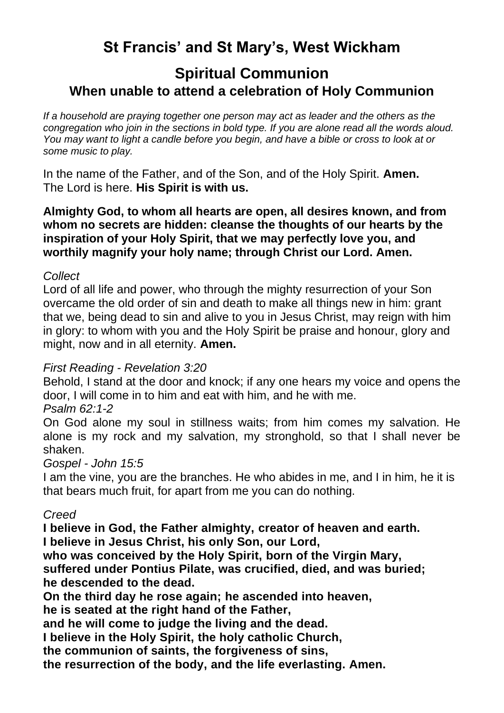# **St Francis' and St Mary's, West Wickham**

## **Spiritual Communion When unable to attend a celebration of Holy Communion**

*If a household are praying together one person may act as leader and the others as the congregation who join in the sections in bold type. If you are alone read all the words aloud. You may want to light a candle before you begin, and have a bible or cross to look at or some music to play.* 

In the name of the Father, and of the Son, and of the Holy Spirit. **Amen.** The Lord is here. **His Spirit is with us.**

**Almighty God, to whom all hearts are open, all desires known, and from whom no secrets are hidden: cleanse the thoughts of our hearts by the inspiration of your Holy Spirit, that we may perfectly love you, and worthily magnify your holy name; through Christ our Lord. Amen.** 

#### *Collect*

Lord of all life and power, who through the mighty resurrection of your Son overcame the old order of sin and death to make all things new in him: grant that we, being dead to sin and alive to you in Jesus Christ, may reign with him in glory: to whom with you and the Holy Spirit be praise and honour, glory and might, now and in all eternity. **Amen.**

## *First Reading - Revelation 3:20*

Behold, I stand at the door and knock; if any one hears my voice and opens the door, I will come in to him and eat with him, and he with me.

## *Psalm 62:1-2*

On God alone my soul in stillness waits; from him comes my salvation. He alone is my rock and my salvation, my stronghold, so that I shall never be shaken.

#### *Gospel - John 15:5*

I am the vine, you are the branches. He who abides in me, and I in him, he it is that bears much fruit, for apart from me you can do nothing.

## *Creed*

**I believe in God, the Father almighty, creator of heaven and earth. I believe in Jesus Christ, his only Son, our Lord,**

**who was conceived by the Holy Spirit, born of the Virgin Mary, suffered under Pontius Pilate, was crucified, died, and was buried; he descended to the dead.**

**On the third day he rose again; he ascended into heaven,**

**he is seated at the right hand of the Father,**

**and he will come to judge the living and the dead.**

**I believe in the Holy Spirit, the holy catholic Church,**

**the communion of saints, the forgiveness of sins,**

**the resurrection of the body, and the life everlasting. Amen.**